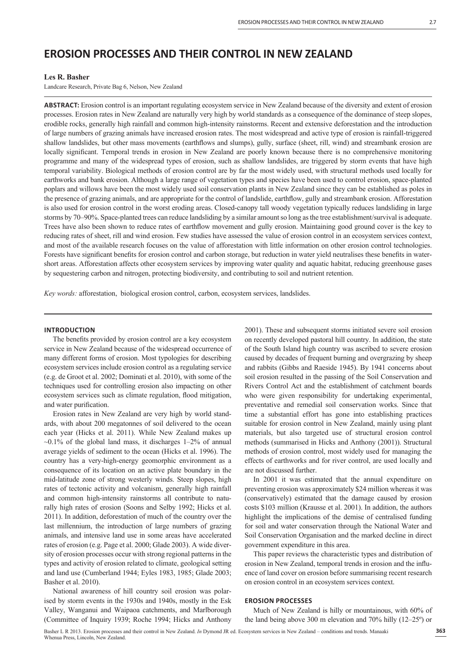# **EROSION PROCESSES AND THEIR CONTROL IN NEW ZEALAND**

# **Les R. Basher**

Landcare Research, Private Bag 6, Nelson, New Zealand

**ABSTRACT:** Erosion control is an important regulating ecosystem service in New Zealand because of the diversity and extent of erosion processes. Erosion rates in New Zealand are naturally very high by world standards as a consequence of the dominance of steep slopes, erodible rocks, generally high rainfall and common high-intensity rainstorms. Recent and extensive deforestation and the introduction of large numbers of grazing animals have increased erosion rates. The most widespread and active type of erosion is rainfall-triggered shallow landslides, but other mass movements (earthflows and slumps), gully, surface (sheet, rill, wind) and streambank erosion are locally significant. Temporal trends in erosion in New Zealand are poorly known because there is no comprehensive monitoring programme and many of the widespread types of erosion, such as shallow landslides, are triggered by storm events that have high temporal variability. Biological methods of erosion control are by far the most widely used, with structural methods used locally for earthworks and bank erosion. Although a large range of vegetation types and species have been used to control erosion, space-planted poplars and willows have been the most widely used soil conservation plants in New Zealand since they can be established as poles in the presence of grazing animals, and are appropriate for the control of landslide, earthflow, gully and streambank erosion. Afforestation is also used for erosion control in the worst eroding areas. Closed-canopy tall woody vegetation typically reduces landsliding in large storms by 70–90%. Space-planted trees can reduce landsliding by a similar amount so long as the tree establishment/survival is adequate. Trees have also been shown to reduce rates of earthflow movement and gully erosion. Maintaining good ground cover is the key to reducing rates of sheet, rill and wind erosion. Few studies have assessed the value of erosion control in an ecosystem services context, and most of the available research focuses on the value of afforestation with little information on other erosion control technologies. Forests have significant benefits for erosion control and carbon storage, but reduction in water yield neutralises these benefits in watershort areas. Afforestation affects other ecosystem services by improving water quality and aquatic habitat, reducing greenhouse gases by sequestering carbon and nitrogen, protecting biodiversity, and contributing to soil and nutrient retention.

*Key words:* afforestation, biological erosion control, carbon, ecosystem services, landslides.

## **INTRODUCTION**

The benefits provided by erosion control are a key ecosystem service in New Zealand because of the widespread occurrence of many different forms of erosion. Most typologies for describing ecosystem services include erosion control as a regulating service (e.g. de Groot et al. 2002; Dominati et al. 2010), with some of the techniques used for controlling erosion also impacting on other ecosystem services such as climate regulation, flood mitigation, and water purification.

Erosion rates in New Zealand are very high by world standards, with about 200 megatonnes of soil delivered to the ocean each year (Hicks et al. 2011). While New Zealand makes up  $\sim$ 0.1% of the global land mass, it discharges 1–2% of annual average yields of sediment to the ocean (Hicks et al. 1996). The country has a very-high-energy geomorphic environment as a consequence of its location on an active plate boundary in the mid-latitude zone of strong westerly winds. Steep slopes, high rates of tectonic activity and volcanism, generally high rainfall and common high-intensity rainstorms all contribute to naturally high rates of erosion (Soons and Selby 1992; Hicks et al. 2011). In addition, deforestation of much of the country over the last millennium, the introduction of large numbers of grazing animals, and intensive land use in some areas have accelerated rates of erosion (e.g. Page et al. 2000; Glade 2003). A wide diversity of erosion processes occur with strong regional patterns in the types and activity of erosion related to climate, geological setting and land use (Cumberland 1944; Eyles 1983, 1985; Glade 2003; Basher et al. 2010).

National awareness of hill country soil erosion was polarised by storm events in the 1930s and 1940s, mostly in the Esk Valley, Wanganui and Waipaoa catchments, and Marlborough (Committee of Inquiry 1939; Roche 1994; Hicks and Anthony 2001). These and subsequent storms initiated severe soil erosion on recently developed pastoral hill country. In addition, the state of the South Island high country was ascribed to severe erosion caused by decades of frequent burning and overgrazing by sheep and rabbits (Gibbs and Raeside 1945). By 1941 concerns about soil erosion resulted in the passing of the Soil Conservation and Rivers Control Act and the establishment of catchment boards who were given responsibility for undertaking experimental, preventative and remedial soil conservation works. Since that time a substantial effort has gone into establishing practices suitable for erosion control in New Zealand, mainly using plant materials, but also targeted use of structural erosion control methods (summarised in Hicks and Anthony (2001)). Structural methods of erosion control, most widely used for managing the effects of earthworks and for river control, are used locally and are not discussed further.

In 2001 it was estimated that the annual expenditure on preventing erosion was approximately \$24 million whereas it was (conservatively) estimated that the damage caused by erosion costs \$103 million (Krausse et al. 2001). In addition, the authors highlight the implications of the demise of centralised funding for soil and water conservation through the National Water and Soil Conservation Organisation and the marked decline in direct government expenditure in this area.

This paper reviews the characteristic types and distribution of erosion in New Zealand, temporal trends in erosion and the influence of land cover on erosion before summarising recent research on erosion control in an ecosystem services context.

## **EROSION PROCESSES**

Much of New Zealand is hilly or mountainous, with 60% of the land being above 300 m elevation and 70% hilly (12–25º) or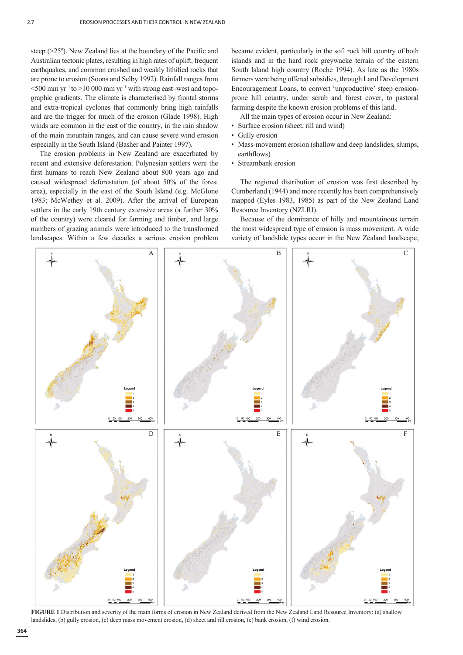steep ( $>25^\circ$ ). New Zealand lies at the boundary of the Pacific and Australian tectonic plates, resulting in high rates of uplift, frequent earthquakes, and common crushed and weakly lithified rocks that are prone to erosion (Soons and Selby 1992). Rainfall ranges from  $\leq$ 500 mm yr<sup>-1</sup> to  $>$ 10 000 mm yr<sup>-1</sup> with strong east–west and topographic gradients. The climate is characterised by frontal storms and extra-tropical cyclones that commonly bring high rainfalls and are the trigger for much of the erosion (Glade 1998). High winds are common in the east of the country, in the rain shadow of the main mountain ranges, and can cause severe wind erosion especially in the South Island (Basher and Painter 1997).

The erosion problems in New Zealand are exacerbated by recent and extensive deforestation. Polynesian settlers were the first humans to reach New Zealand about 800 years ago and caused widespread deforestation (of about 50% of the forest area), especially in the east of the South Island (e.g. McGlone 1983; McWethey et al. 2009). After the arrival of European settlers in the early 19th century extensive areas (a further 30% of the country) were cleared for farming and timber, and large numbers of grazing animals were introduced to the transformed landscapes. Within a few decades a serious erosion problem

became evident, particularly in the soft rock hill country of both islands and in the hard rock greywacke terrain of the eastern South Island high country (Roche 1994). As late as the 1980s farmers were being offered subsidies, through Land Development Encouragement Loans, to convert 'unproductive' steep erosionprone hill country, under scrub and forest cover, to pastoral farming despite the known erosion problems of this land.

All the main types of erosion occur in New Zealand:

- Surface erosion (sheet, rill and wind)
- Gully erosion
- Mass-movement erosion (shallow and deep landslides, slumps, earthflows)
- Streambank erosion

The regional distribution of erosion was first described by Cumberland (1944) and more recently has been comprehensively mapped (Eyles 1983, 1985) as part of the New Zealand Land Resource Inventory (NZLRI).

Because of the dominance of hilly and mountainous terrain the most widespread type of erosion is mass movement. A wide variety of landslide types occur in the New Zealand landscape,



**FIGURE 1** Distribution and severity of the main forms of erosion in New Zealand derived from the New Zealand Land Resource Inventory: (a) shallow landslides, (b) gully erosion, (c) deep mass movement erosion, (d) sheet and rill erosion, (e) bank erosion, (f) wind erosion.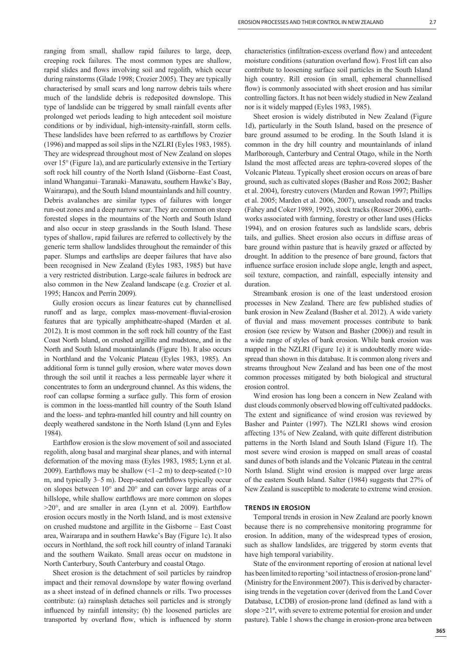ranging from small, shallow rapid failures to large, deep, creeping rock failures. The most common types are shallow, rapid slides and flows involving soil and regolith, which occur during rainstorms (Glade 1998; Crozier 2005). They are typically characterised by small scars and long narrow debris tails where much of the landslide debris is redeposited downslope. This type of landslide can be triggered by small rainfall events after prolonged wet periods leading to high antecedent soil moisture conditions or by individual, high-intensity-rainfall, storm cells. These landslides have been referred to as earthflows by Crozier (1996) and mapped as soil slips in the NZLRI (Eyles 1983, 1985). They are widespread throughout most of New Zealand on slopes over 15° (Figure 1a), and are particularly extensive in the Tertiary soft rock hill country of the North Island (Gisborne–East Coast, inland Whanganui–Taranaki–Manawatu, southern Hawke's Bay, Wairarapa), and the South Island mountainlands and hill country. Debris avalanches are similar types of failures with longer run-out zones and a deep narrow scar. They are common on steep forested slopes in the mountains of the North and South Island and also occur in steep grasslands in the South Island. These types of shallow, rapid failures are referred to collectively by the generic term shallow landslides throughout the remainder of this paper. Slumps and earthslips are deeper failures that have also been recognised in New Zealand (Eyles 1983, 1985) but have a very restricted distribution. Large-scale failures in bedrock are also common in the New Zealand landscape (e.g. Crozier et al. 1995; Hancox and Perrin 2009).

Gully erosion occurs as linear features cut by channellised runoff and as large, complex mass-movement–fluvial-erosion features that are typically amphitheatre-shaped (Marden et al. 2012). It is most common in the soft rock hill country of the East Coast North Island, on crushed argillite and mudstone, and in the North and South Island mountainlands (Figure 1b). It also occurs in Northland and the Volcanic Plateau (Eyles 1983, 1985). An additional form is tunnel gully erosion, where water moves down through the soil until it reaches a less permeable layer where it concentrates to form an underground channel. As this widens, the roof can collapse forming a surface gully. This form of erosion is common in the loess-mantled hill country of the South Island and the loess- and tephra-mantled hill country and hill country on deeply weathered sandstone in the North Island (Lynn and Eyles 1984).

Earthflow erosion is the slow movement of soil and associated regolith, along basal and marginal shear planes, and with internal deformation of the moving mass (Eyles 1983, 1985; Lynn et al. 2009). Earthflows may be shallow  $\left($  <1–2 m) to deep-seated (>10 m, and typically 3–5 m). Deep-seated earthflows typically occur on slopes between 10° and 20° and can cover large areas of a hillslope, while shallow earthflows are more common on slopes  $>20^{\circ}$ , and are smaller in area (Lynn et al. 2009). Earthflow erosion occurs mostly in the North Island, and is most extensive on crushed mudstone and argillite in the Gisborne – East Coast area, Wairarapa and in southern Hawke's Bay (Figure 1c). It also occurs in Northland, the soft rock hill country of inland Taranaki and the southern Waikato. Small areas occur on mudstone in North Canterbury, South Canterbury and coastal Otago.

Sheet erosion is the detachment of soil particles by raindrop impact and their removal downslope by water flowing overland as a sheet instead of in defined channels or rills. Two processes contribute: (a) rainsplash detaches soil particles and is strongly influenced by rainfall intensity; (b) the loosened particles are transported by overland flow, which is influenced by storm characteristics (infiltration-excess overland flow) and antecedent moisture conditions (saturation overland flow). Frost lift can also contribute to loosening surface soil particles in the South Island high country. Rill erosion (in small, ephemeral channellised flow) is commonly associated with sheet erosion and has similar controlling factors. It has not been widely studied in New Zealand nor is it widely mapped (Eyles 1983, 1985).

Sheet erosion is widely distributed in New Zealand (Figure 1d), particularly in the South Island, based on the presence of bare ground assumed to be eroding. In the South Island it is common in the dry hill country and mountainlands of inland Marlborough, Canterbury and Central Otago, while in the North Island the most affected areas are tephra-covered slopes of the Volcanic Plateau. Typically sheet erosion occurs on areas of bare ground, such as cultivated slopes (Basher and Ross 2002; Basher et al. 2004), forestry cutovers (Marden and Rowan 1997; Phillips et al. 2005; Marden et al. 2006, 2007), unsealed roads and tracks (Fahey and Coker 1989, 1992), stock tracks (Rosser 2006), earthworks associated with farming, forestry or other land uses (Hicks 1994), and on erosion features such as landslide scars, debris tails, and gullies. Sheet erosion also occurs in diffuse areas of bare ground within pasture that is heavily grazed or affected by drought. In addition to the presence of bare ground, factors that influence surface erosion include slope angle, length and aspect, soil texture, compaction, and rainfall, especially intensity and duration.

Streambank erosion is one of the least understood erosion processes in New Zealand. There are few published studies of bank erosion in New Zealand (Basher et al. 2012). A wide variety of fluvial and mass movement processes contribute to bank erosion (see review by Watson and Basher (2006)) and result in a wide range of styles of bank erosion. While bank erosion was mapped in the NZLRI (Figure 1e) it is undoubtedly more widespread than shown in this database. It is common along rivers and streams throughout New Zealand and has been one of the most common processes mitigated by both biological and structural erosion control.

Wind erosion has long been a concern in New Zealand with dust clouds commonly observed blowing off cultivated paddocks. The extent and significance of wind erosion was reviewed by Basher and Painter (1997). The NZLRI shows wind erosion affecting 13% of New Zealand, with quite different distribution patterns in the North Island and South Island (Figure 1f). The most severe wind erosion is mapped on small areas of coastal sand dunes of both islands and the Volcanic Plateau in the central North Island. Slight wind erosion is mapped over large areas of the eastern South Island. Salter (1984) suggests that 27% of New Zealand is susceptible to moderate to extreme wind erosion.

#### **TRENDS IN EROSION**

Temporal trends in erosion in New Zealand are poorly known because there is no comprehensive monitoring programme for erosion. In addition, many of the widespread types of erosion, such as shallow landslides, are triggered by storm events that have high temporal variability.

State of the environment reporting of erosion at national level has been limited to reporting 'soil intactness of erosion-prone land' (Ministry for the Environment 2007). This is derived by characterising trends in the vegetation cover (derived from the Land Cover Database, LCDB) of erosion-prone land (defined as land with a slope >21º, with severe to extreme potential for erosion and under pasture). Table 1 shows the change in erosion-prone area between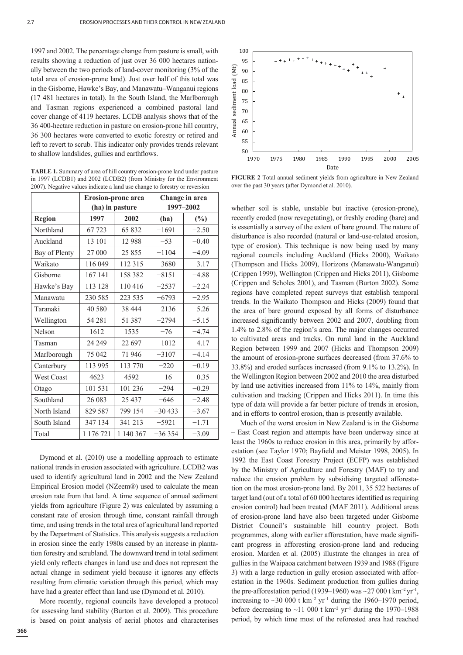1997 and 2002. The percentage change from pasture is small, with results showing a reduction of just over 36 000 hectares nationally between the two periods of land-cover monitoring (3% of the total area of erosion-prone land). Just over half of this total was in the Gisborne, Hawke's Bay, and Manawatu–Wanganui regions (17 481 hectares in total). In the South Island, the Marlborough and Tasman regions experienced a combined pastoral land cover change of 4119 hectares. LCDB analysis shows that of the 36 400-hectare reduction in pasture on erosion-prone hill country, 36 300 hectares were converted to exotic forestry or retired and left to revert to scrub. This indicator only provides trends relevant to shallow landslides, gullies and earthflows.

**TABLE 1.** Summary of area of hill country erosion-prone land under pasture in 1997 (LCDB1) and 2002 (LCDB2) (from Ministry for the Environment 2007). Negative values indicate a land use change to forestry or reversion

|                   | <b>Erosion-prone area</b> |           | Change in area |         |
|-------------------|---------------------------|-----------|----------------|---------|
|                   | (ha) in pasture           |           | 1997-2002      |         |
| <b>Region</b>     | 1997                      | 2002      | (ha)           | $(\%)$  |
| Northland         | 67 723                    | 65 832    | $-1691$        | $-2.50$ |
| Auckland          | 13 101                    | 12988     | $-53$          | $-0.40$ |
| Bay of Plenty     | 27 000                    | 25 855    | $-1104$        | $-4.09$ |
| Waikato           | 116 049                   | 112 315   | $-3680$        | $-3.17$ |
| Gisborne          | 167 141                   | 158 382   | $-8151$        | $-4.88$ |
| Hawke's Bay       | 113 128                   | 110416    | $-2537$        | $-2.24$ |
| Manawatu          | 230 585                   | 223 535   | $-6793$        | $-2.95$ |
| Taranaki          | 40 580                    | 38 444    | $-2136$        | $-5.26$ |
| Wellington        | 54 28 1                   | 51 387    | $-2794$        | $-5.15$ |
| Nelson            | 1612                      | 1535      | $-76$          | $-4.74$ |
| Tasman            | 24 24 9                   | 22 697    | $-1012$        | $-4.17$ |
| Marlborough       | 75 042                    | 71946     | $-3107$        | $-4.14$ |
| Canterbury        | 113 995                   | 113 770   | $-220$         | $-0.19$ |
| <b>West Coast</b> | 4623                      | 4592      | $-16$          | $-0.35$ |
| Otago             | 101 531                   | 101 236   | $-294$         | $-0.29$ |
| Southland         | 26 083                    | 25 4 37   | $-646$         | $-2.48$ |
| North Island      | 829 587                   | 799 154   | $-30433$       | $-3.67$ |
| South Island      | 347 134                   | 341 213   | $-5921$        | $-1.71$ |
| Total             | 1 176 721                 | 1 140 367 | $-36354$       | $-3.09$ |

Dymond et al. (2010) use a modelling approach to estimate national trends in erosion associated with agriculture. LCDB2 was used to identify agricultural land in 2002 and the New Zealand Empirical Erosion model (NZeem®) used to calculate the mean erosion rate from that land. A time sequence of annual sediment yields from agriculture (Figure 2) was calculated by assuming a constant rate of erosion through time, constant rainfall through time, and using trends in the total area of agricultural land reported by the Department of Statistics. This analysis suggests a reduction in erosion since the early 1980s caused by an increase in plantation forestry and scrubland. The downward trend in total sediment yield only reflects changes in land use and does not represent the actual change in sediment yield because it ignores any effects resulting from climatic variation through this period, which may have had a greater effect than land use (Dymond et al. 2010).

More recently, regional councils have developed a protocol for assessing land stability (Burton et al. 2009). This procedure is based on point analysis of aerial photos and characterises



100

**FIGURE 2** Total annual sediment yields from agriculture in New Zealand over the past 30 years (after Dymond et al. 2010).

whether soil is stable, unstable but inactive (erosion-prone), recently eroded (now revegetating), or freshly eroding (bare) and is essentially a survey of the extent of bare ground. The nature of disturbance is also recorded (natural or land-use-related erosion, type of erosion). This technique is now being used by many regional councils including Auckland (Hicks 2000), Waikato (Thompson and Hicks 2009), Horizons (Manawatu-Wanganui) (Crippen 1999), Wellington (Crippen and Hicks 2011), Gisborne (Crippen and Scholes 2001), and Tasman (Burton 2002). Some regions have completed repeat surveys that establish temporal trends. In the Waikato Thompson and Hicks (2009) found that the area of bare ground exposed by all forms of disturbance increased significantly between 2002 and 2007, doubling from 1.4% to 2.8% of the region's area. The major changes occurred to cultivated areas and tracks. On rural land in the Auckland Region between 1999 and 2007 (Hicks and Thompson 2009) the amount of erosion-prone surfaces decreased (from 37.6% to 33.8%) and eroded surfaces increased (from 9.1% to 13.2%). In the Wellington Region between 2002 and 2010 the area disturbed by land use activities increased from 11% to 14%, mainly from cultivation and tracking (Crippen and Hicks 2011). In time this type of data will provide a far better picture of trends in erosion, and in efforts to control erosion, than is presently available.

Much of the worst erosion in New Zealand is in the Gisborne – East Coast region and attempts have been underway since at least the 1960s to reduce erosion in this area, primarily by afforestation (see Taylor 1970; Bayfield and Meister 1998, 2005). In 1992 the East Coast Forestry Project (ECFP) was established by the Ministry of Agriculture and Forestry (MAF) to try and reduce the erosion problem by subsidising targeted afforestation on the most erosion-prone land. By 2011, 35 522 hectares of target land (out of a total of 60 000 hectares identified as requiring erosion control) had been treated (MAF 2011). Additional areas of erosion-prone land have also been targeted under Gisborne District Council's sustainable hill country project. Both programmes, along with earlier afforestation, have made significant progress in afforesting erosion-prone land and reducing erosion. Marden et al. (2005) illustrate the changes in area of gullies in the Waipaoa catchment between 1939 and 1988 (Figure 3) with a large reduction in gully erosion associated with afforestation in the 1960s. Sediment production from gullies during the pre-afforestation period (1939–1960) was  $\sim$ 27 000 t km<sup>-2</sup> yr<sup>-1</sup>, increasing to  $\sim$ 30 000 t km<sup>-2</sup> yr<sup>-1</sup> during the 1960–1970 period, before decreasing to  $~11$  000 t km<sup>-2</sup> yr<sup>-1</sup> during the 1970–1988 period, by which time most of the reforested area had reached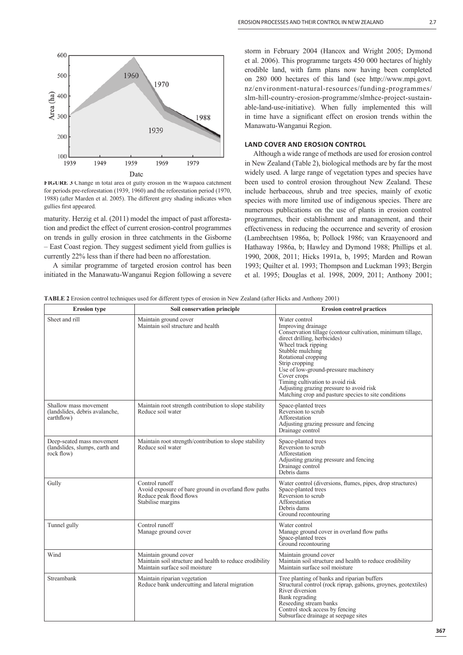

**FIGURE 3** Change in total area of gully erosion in the Waipaoa catchment for periods pre-reforestation (1939, 1960) and the reforestation period (1970, 1988) (after Marden et al. 2005). The different grey shading indicates when gullies first appeared.

maturity. Herzig et al. (2011) model the impact of past afforestation and predict the effect of current erosion-control programmes on trends in gully erosion in three catchments in the Gisborne – East Coast region. They suggest sediment yield from gullies is currently 22% less than if there had been no afforestation.

A similar programme of targeted erosion control has been initiated in the Manawatu-Wanganui Region following a severe storm in February 2004 (Hancox and Wright 2005; Dymond et al. 2006). This programme targets 450 000 hectares of highly erodible land, with farm plans now having been completed on 280 000 hectares of this land (see http://www.mpi.govt. nz/environment-natural-resources/funding-programmes/ slm-hill-country-erosion-programme/slmhce-project-sustainable-land-use-initiative). When fully implemented this will in time have a significant effect on erosion trends within the Manawatu-Wanganui Region.

## **LAND COVER AND EROSION CONTROL**

Although a wide range of methods are used for erosion control in New Zealand (Table 2), biological methods are by far the most widely used. A large range of vegetation types and species have been used to control erosion throughout New Zealand. These include herbaceous, shrub and tree species, mainly of exotic species with more limited use of indigenous species. There are numerous publications on the use of plants in erosion control programmes, their establishment and management, and their effectiveness in reducing the occurrence and severity of erosion (Lambrechtsen 1986a, b; Pollock 1986; van Kraayenoord and Hathaway 1986a, b; Hawley and Dymond 1988; Phillips et al. 1990, 2008, 2011; Hicks 1991a, b, 1995; Marden and Rowan 1993; Quilter et al. 1993; Thompson and Luckman 1993; Bergin et al. 1995; Douglas et al. 1998, 2009, 2011; Anthony 2001;

**TABLE 2** Erosion control techniques used for different types of erosion in New Zealand (after Hicks and Anthony 2001)

| <b>Erosion</b> type                                                       | Soil conservation principle                                                                                            | <b>Erosion control practices</b>                                                                                                                                                                                                                                                                                                                                                                                      |  |
|---------------------------------------------------------------------------|------------------------------------------------------------------------------------------------------------------------|-----------------------------------------------------------------------------------------------------------------------------------------------------------------------------------------------------------------------------------------------------------------------------------------------------------------------------------------------------------------------------------------------------------------------|--|
| Sheet and rill                                                            | Maintain ground cover<br>Maintain soil structure and health                                                            | Water control<br>Improving drainage<br>Conservation tillage (contour cultivation, minimum tillage,<br>direct drilling, herbicides)<br>Wheel track ripping<br>Stubble mulching<br>Rotational cropping<br>Strip cropping<br>Use of low-ground-pressure machinery<br>Cover crops<br>Timing cultivation to avoid risk<br>Adjusting grazing pressure to avoid risk<br>Matching crop and pasture species to site conditions |  |
| Shallow mass movement<br>(landslides, debris avalanche,<br>earthflow)     | Maintain root strength contribution to slope stability<br>Reduce soil water                                            | Space-planted trees<br>Reversion to scrub<br>Afforestation<br>Adjusting grazing pressure and fencing<br>Drainage control                                                                                                                                                                                                                                                                                              |  |
| Deep-seated mass movement<br>(landslides, slumps, earth and<br>rock flow) | Maintain root strength/contribution to slope stability<br>Reduce soil water                                            | Space-planted trees<br>Reversion to scrub<br>Afforestation<br>Adjusting grazing pressure and fencing<br>Drainage control<br>Debris dams                                                                                                                                                                                                                                                                               |  |
| Gully                                                                     | Control runoff<br>Avoid exposure of bare ground in overland flow paths<br>Reduce peak flood flows<br>Stabilise margins | Water control (diversions, flumes, pipes, drop structures)<br>Space-planted trees<br>Reversion to scrub<br>Afforestation<br>Debris dams<br>Ground recontouring                                                                                                                                                                                                                                                        |  |
| Tunnel gully                                                              | Control runoff<br>Manage ground cover                                                                                  | Water control<br>Manage ground cover in overland flow paths<br>Space-planted trees<br>Ground recontouring                                                                                                                                                                                                                                                                                                             |  |
| Wind                                                                      | Maintain ground cover<br>Maintain soil structure and health to reduce erodibility<br>Maintain surface soil moisture    | Maintain ground cover<br>Maintain soil structure and health to reduce erodibility<br>Maintain surface soil moisture                                                                                                                                                                                                                                                                                                   |  |
| Streambank                                                                | Maintain riparian vegetation<br>Reduce bank undercutting and lateral migration                                         | Tree planting of banks and riparian buffers<br>Structural control (rock riprap, gabions, groynes, geotextiles)<br>River diversion<br>Bank regrading<br>Reseeding stream banks<br>Control stock access by fencing<br>Subsurface drainage at seepage sites                                                                                                                                                              |  |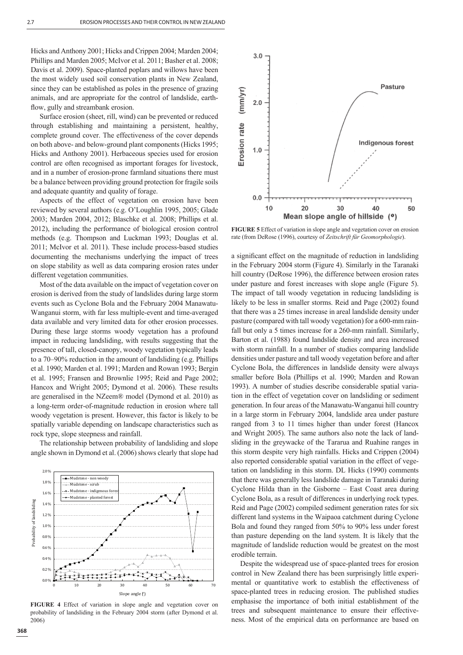Hicks and Anthony 2001; Hicks and Crippen 2004; Marden 2004; Phillips and Marden 2005; McIvor et al. 2011; Basher et al. 2008; Davis et al. 2009). Space-planted poplars and willows have been the most widely used soil conservation plants in New Zealand, since they can be established as poles in the presence of grazing animals, and are appropriate for the control of landslide, earthflow, gully and streambank erosion.

Surface erosion (sheet, rill, wind) can be prevented or reduced through establishing and maintaining a persistent, healthy, complete ground cover. The effectiveness of the cover depends on both above- and below-ground plant components (Hicks 1995; Hicks and Anthony 2001). Herbaceous species used for erosion control are often recognised as important forages for livestock, and in a number of erosion-prone farmland situations there must be a balance between providing ground protection for fragile soils and adequate quantity and quality of forage.

Aspects of the effect of vegetation on erosion have been reviewed by several authors (e.g. O'Loughlin 1995, 2005; Glade 2003; Marden 2004, 2012; Blaschke et al. 2008; Phillips et al. 2012), including the performance of biological erosion control methods (e.g. Thompson and Luckman 1993; Douglas et al. 2011; McIvor et al. 2011). These include process-based studies documenting the mechanisms underlying the impact of trees on slope stability as well as data comparing erosion rates under different vegetation communities.

Most of the data available on the impact of vegetation cover on erosion is derived from the study of landslides during large storm events such as Cyclone Bola and the February 2004 Manawatu-Wanganui storm, with far less multiple-event and time-averaged data available and very limited data for other erosion processes. During these large storms woody vegetation has a profound impact in reducing landsliding, with results suggesting that the presence of tall, closed-canopy, woody vegetation typically leads to a 70–90% reduction in the amount of landsliding (e.g. Phillips et al. 1990; Marden et al. 1991; Marden and Rowan 1993; Bergin et al. 1995; Fransen and Brownlie 1995; Reid and Page 2002; Hancox and Wright 2005; Dymond et al. 2006). These results are generalised in the NZeem® model (Dymond et al. 2010) as a long-term order-of-magnitude reduction in erosion where tall woody vegetation is present. However, this factor is likely to be spatially variable depending on landscape characteristics such as rock type, slope steepness and rainfall.

The relationship between probability of landsliding and slope angle shown in Dymond et al. (2006) shows clearly that slope had



Erosion rate (mm/yr) Indigenous forest  $1.0$  $0.0$  $10$ 20 30 40 50

Pasture

 $3.0$ 

 $2.0$ 

**FIGURE 5** Effect of variation in slope angle and vegetation cover on erosion rate (from DeRose (1996), courtesy of *Zeitschrift für Geomorphologie*).

Mean slope angle of hillside (°)

a significant effect on the magnitude of reduction in landsliding in the February 2004 storm (Figure 4). Similarly in the Taranaki hill country (DeRose 1996), the difference between erosion rates under pasture and forest increases with slope angle (Figure 5). The impact of tall woody vegetation in reducing landsliding is likely to be less in smaller storms. Reid and Page (2002) found that there was a 25 times increase in areal landslide density under pasture (compared with tall woody vegetation) for a 600-mm rainfall but only a 5 times increase for a 260-mm rainfall. Similarly, Barton et al. (1988) found landslide density and area increased with storm rainfall. In a number of studies comparing landslide densities under pasture and tall woody vegetation before and after Cyclone Bola, the differences in landslide density were always smaller before Bola (Phillips et al. 1990; Marden and Rowan 1993). A number of studies describe considerable spatial variation in the effect of vegetation cover on landsliding or sediment generation. In four areas of the Manawatu-Wanganui hill country in a large storm in February 2004, landslide area under pasture ranged from 3 to 11 times higher than under forest (Hancox and Wright 2005). The same authors also note the lack of landsliding in the greywacke of the Tararua and Ruahine ranges in this storm despite very high rainfalls. Hicks and Crippen (2004) also reported considerable spatial variation in the effect of vegetation on landsliding in this storm. DL Hicks (1990) comments that there was generally less landslide damage in Taranaki during Cyclone Hilda than in the Gisborne – East Coast area during Cyclone Bola, as a result of differences in underlying rock types. Reid and Page (2002) compiled sediment generation rates for six different land systems in the Waipaoa catchment during Cyclone Bola and found they ranged from 50% to 90% less under forest than pasture depending on the land system. It is likely that the magnitude of landslide reduction would be greatest on the most erodible terrain.

Despite the widespread use of space-planted trees for erosion control in New Zealand there has been surprisingly little experimental or quantitative work to establish the effectiveness of space-planted trees in reducing erosion. The published studies emphasise the importance of both initial establishment of the trees and subsequent maintenance to ensure their effectiveness. Most of the empirical data on performance are based on

2.0%

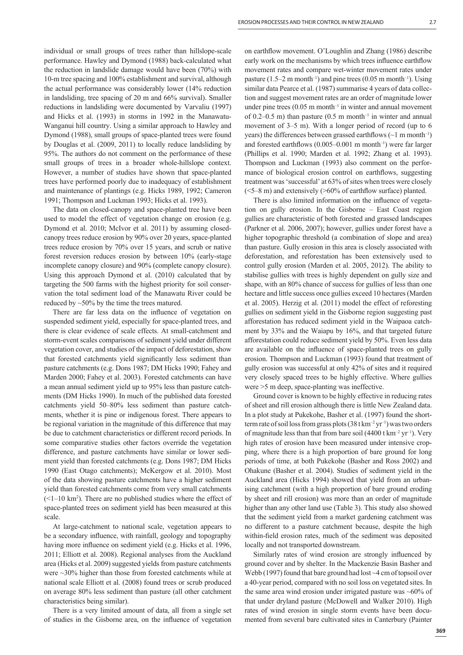individual or small groups of trees rather than hillslope-scale performance. Hawley and Dymond (1988) back-calculated what the reduction in landslide damage would have been (70%) with 10-m tree spacing and 100% establishment and survival, although the actual performance was considerably lower (14% reduction in landsliding, tree spacing of 20 m and 66% survival). Smaller reductions in landsliding were documented by Varvaliu (1997) and Hicks et al. (1993) in storms in 1992 in the Manawatu-Wanganui hill country. Using a similar approach to Hawley and Dymond (1988), small groups of space-planted trees were found by Douglas et al. (2009, 2011) to locally reduce landsliding by 95%. The authors do not comment on the performance of these small groups of trees in a broader whole-hillslope context. However, a number of studies have shown that space-planted trees have performed poorly due to inadequacy of establishment and maintenance of plantings (e.g. Hicks 1989, 1992; Cameron 1991; Thompson and Luckman 1993; Hicks et al. 1993).

The data on closed-canopy and space-planted tree have been used to model the effect of vegetation change on erosion (e.g. Dymond et al. 2010; McIvor et al. 2011) by assuming closedcanopy trees reduce erosion by 90% over 20 years, space-planted trees reduce erosion by 70% over 15 years, and scrub or native forest reversion reduces erosion by between 10% (early-stage incomplete canopy closure) and 90% (complete canopy closure). Using this approach Dymond et al. (2010) calculated that by targeting the 500 farms with the highest priority for soil conservation the total sediment load of the Manawatu River could be reduced by ~50% by the time the trees matured.

There are far less data on the influence of vegetation on suspended sediment yield, especially for space-planted trees, and there is clear evidence of scale effects. At small-catchment and storm-event scales comparisons of sediment yield under different vegetation cover, and studies of the impact of deforestation, show that forested catchments yield significantly less sediment than pasture catchments (e.g. Dons 1987; DM Hicks 1990; Fahey and Marden 2000; Fahey et al. 2003). Forested catchments can have a mean annual sediment yield up to 95% less than pasture catchments (DM Hicks 1990). In much of the published data forested catchments yield 50–80% less sediment than pasture catchments, whether it is pine or indigenous forest. There appears to be regional variation in the magnitude of this difference that may be due to catchment characteristics or different record periods. In some comparative studies other factors override the vegetation difference, and pasture catchments have similar or lower sediment yield than forested catchments (e.g. Dons 1987; DM Hicks 1990 (East Otago catchments); McKergow et al. 2010). Most of the data showing pasture catchments have a higher sediment yield than forested catchments come from very small catchments  $(<1-10 \text{ km}^2)$ . There are no published studies where the effect of space-planted trees on sediment yield has been measured at this scale.

At large-catchment to national scale, vegetation appears to be a secondary influence, with rainfall, geology and topography having more influence on sediment yield (e.g. Hicks et al. 1996, 2011; Elliott et al. 2008). Regional analyses from the Auckland area (Hicks et al. 2009) suggested yields from pasture catchments were ~30% higher than those from forested catchments while at national scale Elliott et al. (2008) found trees or scrub produced on average 80% less sediment than pasture (all other catchment characteristics being similar).

There is a very limited amount of data, all from a single set of studies in the Gisborne area, on the influence of vegetation on earthflow movement. O'Loughlin and Zhang (1986) describe early work on the mechanisms by which trees influence earthflow movement rates and compare wet-winter movement rates under pasture (1.5–2 m month<sup>-1</sup>) and pine trees (0.05 m month<sup>-1</sup>). Using similar data Pearce et al. (1987) summarise 4 years of data collection and suggest movement rates are an order of magnitude lower under pine trees  $(0.05 \text{ m month}^{-1})$  in winter and annual movement of 0.2–0.5 m) than pasture (0.5 m month<sup>-1</sup> in winter and annual movement of 3–5 m). With a longer period of record (up to 6 years) the differences between grassed earthflows  $(\sim 1 \text{ m month}^{-1})$ and forested earthflows  $(0.005-0.001 \text{ m month}^{-1})$  were far larger (Phillips et al. 1990; Marden et al. 1992; Zhang et al. 1993). Thompson and Luckman (1993) also comment on the performance of biological erosion control on earthflows, suggesting treatment was 'successful' at 63% of sites when trees were closely  $(\leq$ 5–8 m) and extensively ( $\geq$ 60% of earthflow surface) planted.

There is also limited information on the influence of vegetation on gully erosion. In the Gisborne – East Coast region gullies are characteristic of both forested and grassed landscapes (Parkner et al. 2006, 2007); however, gullies under forest have a higher topographic threshold (a combination of slope and area) than pasture. Gully erosion in this area is closely associated with deforestation, and reforestation has been extensively used to control gully erosion (Marden et al. 2005, 2012). The ability to stabilise gullies with trees is highly dependent on gully size and shape, with an 80% chance of success for gullies of less than one hectare and little success once gullies exceed 10 hectares (Marden et al. 2005). Herzig et al. (2011) model the effect of reforesting gullies on sediment yield in the Gisborne region suggesting past afforestation has reduced sediment yield in the Waipaoa catchment by 33% and the Waiapu by 16%, and that targeted future afforestation could reduce sediment yield by 50%. Even less data are available on the influence of space-planted trees on gully erosion. Thompson and Luckman (1993) found that treatment of gully erosion was successful at only 42% of sites and it required very closely spaced trees to be highly effective. Where gullies were >5 m deep, space-planting was ineffective.

Ground cover is known to be highly effective in reducing rates of sheet and rill erosion although there is little New Zealand data. In a plot study at Pukekohe, Basher et al. (1997) found the shortterm rate of soil loss from grass plots  $(38 \text{ t km}^{-2} \text{ yr}^{-1})$  was two orders of magnitude less than that from bare soil (4400 t km<sup>-2</sup> yr<sup>-1</sup>). Very high rates of erosion have been measured under intensive cropping, where there is a high proportion of bare ground for long periods of time, at both Pukekohe (Basher and Ross 2002) and Ohakune (Basher et al. 2004). Studies of sediment yield in the Auckland area (Hicks 1994) showed that yield from an urbanising catchment (with a high proportion of bare ground eroding by sheet and rill erosion) was more than an order of magnitude higher than any other land use (Table 3). This study also showed that the sediment yield from a market gardening catchment was no different to a pasture catchment because, despite the high within-field erosion rates, much of the sediment was deposited locally and not transported downstream.

Similarly rates of wind erosion are strongly influenced by ground cover and by shelter. In the Mackenzie Basin Basher and Webb (1997) found that bare ground had lost ~4 cm of topsoil over a 40-year period, compared with no soil loss on vegetated sites. In the same area wind erosion under irrigated pasture was  $~60\%$  of that under dryland pasture (McDowell and Walker 2010). High rates of wind erosion in single storm events have been documented from several bare cultivated sites in Canterbury (Painter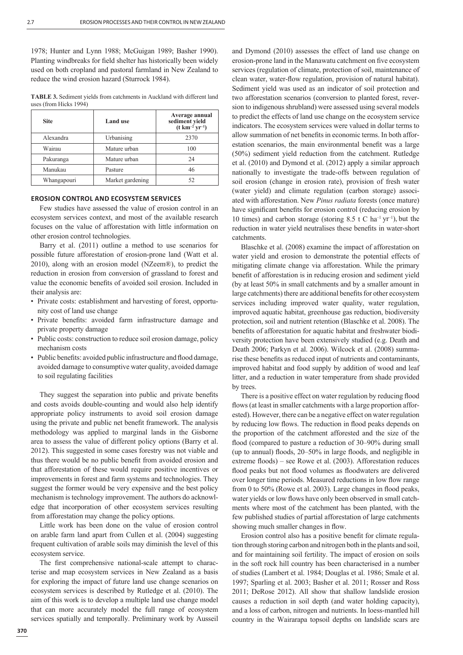1978; Hunter and Lynn 1988; McGuigan 1989; Basher 1990). Planting windbreaks for field shelter has historically been widely used on both cropland and pastoral farmland in New Zealand to reduce the wind erosion hazard (Sturrock 1984).

**TABLE 3.** Sediment yields from catchments in Auckland with different land uses (from Hicks 1994)

| <b>Site</b> | <b>Land</b> use  | Average annual<br>sediment yield<br>$(t \, km^{-2} \, yr^{-1})$ |
|-------------|------------------|-----------------------------------------------------------------|
| Alexandra   | Urbanising       | 2370                                                            |
| Wairau      | Mature urban     | 100                                                             |
| Pakuranga   | Mature urban     | 24                                                              |
| Manukau     | Pasture          | 46                                                              |
| Whangapouri | Market gardening | 52                                                              |

## **EROSION CONTROL AND ECOSYSTEM SERVICES**

Few studies have assessed the value of erosion control in an ecosystem services context, and most of the available research focuses on the value of afforestation with little information on other erosion control technologies.

Barry et al. (2011) outline a method to use scenarios for possible future afforestation of erosion-prone land (Watt et al. 2010), along with an erosion model (NZeem®), to predict the reduction in erosion from conversion of grassland to forest and value the economic benefits of avoided soil erosion. Included in their analysis are:

- Private costs: establishment and harvesting of forest, opportunity cost of land use change
- Private benefits: avoided farm infrastructure damage and private property damage
- Public costs: construction to reduce soil erosion damage, policy mechanism costs
- Public benefits: avoided public infrastructure and flood damage, avoided damage to consumptive water quality, avoided damage to soil regulating facilities

They suggest the separation into public and private benefits and costs avoids double-counting and would also help identify appropriate policy instruments to avoid soil erosion damage using the private and public net benefit framework. The analysis methodology was applied to marginal lands in the Gisborne area to assess the value of different policy options (Barry et al. 2012). This suggested in some cases forestry was not viable and thus there would be no public benefit from avoided erosion and that afforestation of these would require positive incentives or improvements in forest and farm systems and technologies. They suggest the former would be very expensive and the best policy mechanism is technology improvement. The authors do acknowledge that incorporation of other ecosystem services resulting from afforestation may change the policy options.

Little work has been done on the value of erosion control on arable farm land apart from Cullen et al. (2004) suggesting frequent cultivation of arable soils may diminish the level of this ecosystem service.

The first comprehensive national-scale attempt to characterise and map ecosystem services in New Zealand as a basis for exploring the impact of future land use change scenarios on ecosystem services is described by Rutledge et al. (2010). The aim of this work is to develop a multiple land use change model that can more accurately model the full range of ecosystem services spatially and temporally. Preliminary work by Ausseil

and Dymond (2010) assesses the effect of land use change on erosion-prone land in the Manawatu catchment on five ecosystem services (regulation of climate, protection of soil, maintenance of clean water, water-flow regulation, provision of natural habitat). Sediment yield was used as an indicator of soil protection and two afforestation scenarios (conversion to planted forest, reversion to indigenous shrubland) were assessed using several models to predict the effects of land use change on the ecosystem service indicators. The ecosystem services were valued in dollar terms to allow summation of net benefits in economic terms. In both afforestation scenarios, the main environmental benefit was a large (50%) sediment yield reduction from the catchment. Rutledge et al. (2010) and Dymond et al. (2012) apply a similar approach nationally to investigate the trade-offs between regulation of soil erosion (change in erosion rate), provision of fresh water (water yield) and climate regulation (carbon storage) associated with afforestation. New *Pinus radiata* forests (once mature) have significant benefits for erosion control (reducing erosion by 10 times) and carbon storage (storing 8.5 t C ha<sup>-1</sup> yr<sup>-1</sup>), but the reduction in water yield neutralises these benefits in water-short catchments.

Blaschke et al. (2008) examine the impact of afforestation on water yield and erosion to demonstrate the potential effects of mitigating climate change via afforestation. While the primary benefit of afforestation is in reducing erosion and sediment yield (by at least 50% in small catchments and by a smaller amount in large catchments) there are additional benefits for other ecosystem services including improved water quality, water regulation, improved aquatic habitat, greenhouse gas reduction, biodiversity protection, soil and nutrient retention (Blaschke et al. 2008). The benefits of afforestation for aquatic habitat and freshwater biodiversity protection have been extensively studied (e.g. Death and Death 2006; Parkyn et al. 2006). Wilcock et al. (2008) summarise these benefits as reduced input of nutrients and contaminants, improved habitat and food supply by addition of wood and leaf litter, and a reduction in water temperature from shade provided by trees.

There is a positive effect on water regulation by reducing flood flows (at least in smaller catchments with a large proportion afforested). However, there can be a negative effect on water regulation by reducing low flows. The reduction in flood peaks depends on the proportion of the catchment afforested and the size of the flood (compared to pasture a reduction of 30–90% during small (up to annual) floods,  $20-50\%$  in large floods, and negligible in extreme floods) – see Rowe et al. (2003). Afforestation reduces flood peaks but not flood volumes as floodwaters are delivered over longer time periods. Measured reductions in low flow range from 0 to 50% (Rowe et al. 2003). Large changes in flood peaks, water yields or low flows have only been observed in small catchments where most of the catchment has been planted, with the few published studies of partial afforestation of large catchments showing much smaller changes in flow.

Erosion control also has a positive benefit for climate regulation through storing carbon and nitrogen both in the plants and soil, and for maintaining soil fertility. The impact of erosion on soils in the soft rock hill country has been characterised in a number of studies (Lambert et al. 1984; Douglas et al. 1986; Smale et al. 1997; Sparling et al. 2003; Basher et al. 2011; Rosser and Ross 2011; DeRose 2012). All show that shallow landslide erosion causes a reduction in soil depth (and water holding capacity), and a loss of carbon, nitrogen and nutrients. In loess-mantled hill country in the Wairarapa topsoil depths on landslide scars are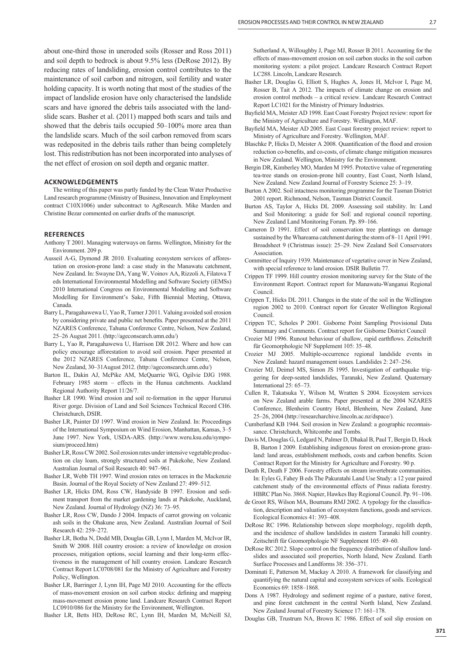about one-third those in uneroded soils (Rosser and Ross 2011) and soil depth to bedrock is about 9.5% less (DeRose 2012). By reducing rates of landsliding, erosion control contributes to the maintenance of soil carbon and nitrogen, soil fertility and water holding capacity. It is worth noting that most of the studies of the impact of landslide erosion have only characterised the landslide scars and have ignored the debris tails associated with the landslide scars. Basher et al. (2011) mapped both scars and tails and showed that the debris tails occupied 50–100% more area than the landslide scars. Much of the soil carbon removed from scars was redeposited in the debris tails rather than being completely lost. This redistribution has not been incorporated into analyses of the net effect of erosion on soil depth and organic matter.

#### **ACKNOWLEDGEMENTS**

The writing of this paper was partly funded by the Clean Water Productive Land research programme (Ministry of Business, Innovation and Employment contract C10X1006) under subcontract to AgResearch. Mike Marden and Christine Bezar commented on earlier drafts of the manuscript.

## **REFERENCES**

- Anthony T 2001. Managing waterways on farms. Wellington, Ministry for the Environment. 209 p.
- Ausseil A-G, Dymond JR 2010. Evaluating ecosystem services of afforestation on erosion-prone land: a case study in the Manawatu catchment, New Zealand. In: Swayne DA, Yang W, Voinov AA, Rizzoli A, Filatova T eds International Environmental Modelling and Software Society (iEMSs) 2010 International Congress on Environmental Modelling and Software Modelling for Environment's Sake, Fifth Biennial Meeting, Ottawa, Canada.
- Barry L, Paragahawewa U, Yao R, Turner J 2011. Valuing avoided soil erosion by considering private and public net benefits. Paper presented at the 2011 NZARES Conference, Tahuna Conference Centre, Nelson, New Zealand, 25–26 August 2011. (http://ageconsearch.umn.edu/)
- Barry L, Yao R, Paragahawewa U, Harrison DR 2012. Where and how can policy encourage afforestation to avoid soil erosion. Paper presented at the 2012 NZARES Conference, Tahuna Conference Centre, Nelson, New Zealand, 30–31August 2012. (http://ageconsearch.umn.edu/)
- Barton IL, Dakin AJ, McPike AM, McQuarrie WG, Ogilvie DJG 1988. February 1985 storm – effects in the Hunua catchments. Auckland Regional Authority Report 11/26/7.
- Basher LR 1990. Wind erosion and soil re-formation in the upper Hurunui River gorge. Division of Land and Soil Sciences Technical Record CH6. Christchurch, DSIR.
- Basher LR, Painter DJ 1997. Wind erosion in New Zealand. In: Proceedings of the International Symposium on Wind Erosion, Manhattan, Kansas, 3–5 June 1997. New York, USDA-ARS. (http://www.weru.ksu.edu/symposium/proceed.htm)
- Basher LR, Ross CW 2002. Soil erosion rates under intensive vegetable production on clay loam, strongly structured soils at Pukekohe, New Zealand. Australian Journal of Soil Research 40: 947–961.
- Basher LR, Webb TH 1997. Wind erosion rates on terraces in the Mackenzie Basin. Journal of the Royal Society of New Zealand 27: 499–512.
- Basher LR, Hicks DM, Ross CW, Handyside B 1997. Erosion and sediment transport from the market gardening lands at Pukekohe, Auckland, New Zealand. Journal of Hydrology (NZ) 36: 73–95.
- Basher LR, Ross CW, Dando J 2004. Impacts of carrot growing on volcanic ash soils in the Ohakune area, New Zealand. Australian Journal of Soil Research 42: 259–272.
- Basher LR, Botha N, Dodd MB, Douglas GB, Lynn I, Marden M, McIvor IR, Smith W 2008. Hill country erosion: a review of knowledge on erosion processes, mitigation options, social learning and their long-term effectiveness in the management of hill country erosion. Landcare Research Contract Report LC0708/081 for the Ministry of Agriculture and Forestry Policy, Wellington.
- Basher LR, Barringer J, Lynn IH, Page MJ 2010. Accounting for the effects of mass-movement erosion on soil carbon stocks: defining and mapping mass-movement erosion prone land. Landcare Research Contract Report LC0910/086 for the Ministry for the Environment, Wellington.

Basher LR, Betts HD, DeRose RC, Lynn IH, Marden M, McNeill SJ,

Sutherland A, Willoughby J, Page MJ, Rosser B 2011. Accounting for the effects of mass-movement erosion on soil carbon stocks in the soil carbon monitoring system: a pilot project. Landcare Research Contract Report LC288. Lincoln, Landcare Research.

- Basher LR, Douglas G, Elliott S, Hughes A, Jones H, McIvor I, Page M, Rosser B, Tait A 2012. The impacts of climate change on erosion and erosion control methods – a critical review. Landcare Research Contract Report LC1021 for the Ministry of Primary Industries.
- Bayfield MA, Meister AD 1998. East Coast Forestry Project review: report for the Ministry of Agriculture and Forestry. Wellington, MAF.
- Bayfield MA, Meister AD 2005. East Coast forestry project review: report to Ministry of Agriculture and Forestry. Wellington, MAF.
- Blaschke P, Hicks D, Meister A 2008. Quantification of the flood and erosion reduction co-benefits, and co-costs, of climate change mitigation measures in New Zealand. Wellington, Ministry for the Environment.
- Bergin DR, Kimberley MO, Marden M 1995. Protective value of regenerating tea-tree stands on erosion-prone hill country, East Coast, North Island, New Zealand. New Zealand Journal of Forestry Science 25: 3–19.
- Burton A 2002. Soil intactness monitoring programme for the Tasman District 2001 report. Richmond, Nelson, Tasman District Council.
- Burton AS, Taylor A, Hicks DL 2009. Assessing soil stability. In: Land and Soil Monitoring: a guide for SoE and regional council reporting. New Zealand Land Monitoring Forum. Pp. 89–166.
- Cameron D 1991. Effect of soil conservation tree plantings on damage sustained by the Whareama catchment during the storm of 8–11 April 1991. Broadsheet 9 (Christmas issue): 25–29. New Zealand Soil Conservators **Association**
- Committee of Inquiry 1939. Maintenance of vegetative cover in New Zealand, with special reference to land erosion. DSIR Bulletin 77.
- Crippen TF 1999. Hill country erosion monitoring survey for the State of the Environment Report. Contract report for Manawatu-Wanganui Regional Council.
- Crippen T, Hicks DL 2011. Changes in the state of the soil in the Wellington region 2002 to 2010. Contract report for Greater Wellington Regional Council.
- Crippen TC, Scholes P 2001. Gisborne Point Sampling Provisional Data Summary and Comments. Contract report for Gisborne District Council
- Crozier MJ 1996. Runout behaviour of shallow, rapid earthflows. Zeitschrift für Geomorphologie NF Supplement 105: 35–48.
- Crozier MJ 2005. Multiple-occurrence regional landslide events in New Zealand: hazard management issues. Landslides 2: 247–256.
- Crozier MJ, Deimel MS, Simon JS 1995. Investigation of earthquake triggering for deep-seated landslides, Taranaki, New Zealand. Quaternary International 25: 65–73.
- Cullen R, Takatsuka Y, Wilson M, Wratten S 2004. Ecosystem services on New Zealand arable farms. Paper presented at the 2004 NZARES Conference, Blenheim Country Hotel, Blenheim, New Zealand, June 25–26, 2004 (http://researcharchive.lincoln.ac.nz/dspace/).
- Cumberland KB 1944. Soil erosion in New Zealand: a geographic reconnaissance. Christchurch, Whitcombe and Tombs.
- Davis M, Douglas G, Ledgard N, Palmer D, Dhakal B, Paul T, Bergin D, Hock B, Barton I 2009. Establishing indigenous forest on erosion-prone grassland: land areas, establishment methods, costs and carbon benefits. Scion Contract Report for the Ministry for Agriculture and Forestry. 90 p.
- Death R, Death F 2006. Forestry effects on stream invertebrate communities. In: Eyles G, Fahey B eds The Pakuratahi Land Use Study: a 12 year paired catchment study of the environmental effects of Pinus radiata forestry. HBRC Plan No. 3868. Napier, Hawkes Bay Regional Council. Pp. 91–106.
- de Groot RS, Wilson MA, Boumans RMJ 2002. A typology for the classification, description and valuation of ecosystem functions, goods and services. Ecological Economics 41: 393–408.
- DeRose RC 1996. Relationship between slope morphology, regolith depth, and the incidence of shallow landslides in eastern Taranaki hill country. Zeitschrift für Geomorphologie NF Supplement 105: 49–60.
- DeRose RC 2012. Slope control on the frequency distribution of shallow landslides and associated soil properties, North Island, New Zealand. Earth Surface Processes and Landforms 38: 356–371.
- Dominati E, Patterson M, Mackay A 2010. A framework for classifying and quantifying the natural capital and ecosystem services of soils. Ecological Economics 69: 1858–1868.
- Dons A 1987. Hydrology and sediment regime of a pasture, native forest, and pine forest catchment in the central North Island, New Zealand. New Zealand Journal of Forestry Science 17: 161–178.
- Douglas GB, Trustrum NA, Brown IC 1986. Effect of soil slip erosion on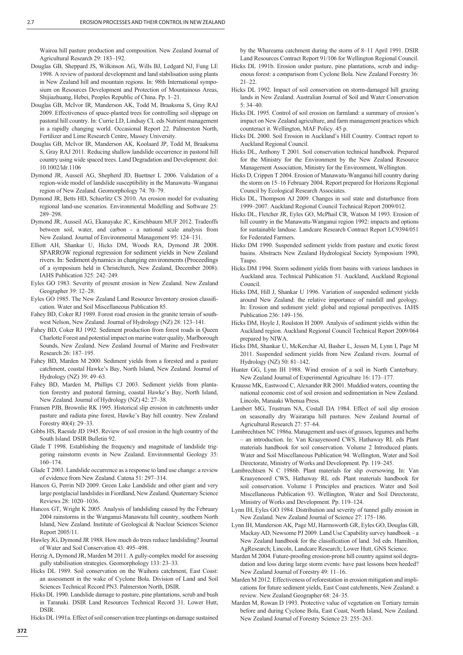Wairoa hill pasture production and composition. New Zealand Journal of Agricultural Research 29: 183–192.

- Douglas GB, Sheppard JS, Wilkinson AG, Wills BJ, Ledgard NJ, Fung LE 1998. A review of pastoral development and land stabilisation using plants in New Zealand hill and mountain regions. In: 98th International symposium on Resources Development and Protection of Mountainous Areas, Shijiazhuang, Hebei, Peoples Republic of China. Pp. 1–21.
- Douglas GB, McIvor IR, Manderson AK, Todd M, Braaksma S, Gray RAJ 2009. Effectiveness of space-planted trees for controlling soil slippage on pastoral hill country. In: Currie LD, Lindsay CL eds Nutrient management in a rapidly changing world. Occasional Report 22. Palmerston North, Fertilizer and Lime Research Centre, Massey University.
- Douglas GB, McIvor IR, Manderson AK, Koolaard JP, Todd M, Braaksma S, Gray RAJ 2011. Reducing shallow landslide occurrence in pastoral hill country using wide spaced trees. Land Degradation and Development: doi: 10.1002/ldr.1106
- Dymond JR, Ausseil AG, Shepherd JD, Buettner L 2006. Validation of a region-wide model of landslide susceptibility in the Manawatu–Wanganui region of New Zealand. Geomorphology 74: 70–79.
- Dymond JR, Betts HD, Schierlitz CS 2010. An erosion model for evaluating regional land-use scenarios. Environmental Modelling and Software 25: 289–298.
- Dymond JR, Ausseil AG, Ekanayake JC, Kirschbaum MUF 2012. Tradeoffs between soil, water, and carbon - a national scale analysis from New Zealand. Journal of Environmental Management 95: 124–131.
- Elliott AH, Shankar U, Hicks DM, Woods RA, Dymond JR 2008. SPARROW regional regression for sediment yields in New Zealand rivers. In: Sediment dynamics in changing environments (Proceedings of a symposium held in Christchurch, New Zealand, December 2008). IAHS Publication 325: 242–249.
- Eyles GO 1983. Severity of present erosion in New Zealand. New Zealand Geographer 39: 12–28.
- Eyles GO 1985. The New Zealand Land Resource Inventory erosion classification. Water and Soil Miscellaneous Publication 85.
- Fahey BD, Coker RJ 1989. Forest road erosion in the granite terrain of southwest Nelson, New Zealand. Journal of Hydrology (NZ) 28: 123–141.
- Fahey BD, Coker RJ 1992. Sediment production from forest roads in Queen Charlotte Forest and potential impact on marine water quality, Marlborough Sounds, New Zealand. New Zealand Journal of Marine and Freshwater Research 26: 187–195.
- Fahey BD, Marden M 2000. Sediment yields from a forested and a pasture catchment, coastal Hawke's Bay, North Island, New Zealand. Journal of Hydrology (NZ) 39: 49–63.
- Fahey BD, Marden M, Phillips CJ 2003. Sediment yields from plantation forestry and pastoral farming, coastal Hawke's Bay, North Island, New Zealand. Journal of Hydrology (NZ) 42: 27–38.
- Fransen PJB, Brownlie RK 1995. Historical slip erosion in catchments under pasture and radiata pine forest, Hawke's Bay hill country. New Zealand Forestry 40(4): 29–33.
- Gibbs HS, Raeside JD 1945. Review of soil erosion in the high country of the South Island. DSIR Bulletin 92.
- Glade T 1998. Establishing the frequency and magnitude of landslide triggering rainstorm events in New Zealand. Environmental Geology 35: 160–174.
- Glade T 2003. Landslide occurrence as a response to land use change: a review of evidence from New Zealand. Catena 51: 297–314.
- Hancox G, Perrin ND 2009. Green Lake Landslide and other giant and very large postglacial landslides in Fiordland, New Zealand. Quaternary Science Reviews 28: 1020–1036.
- Hancox GT, Wright K 2005. Analysis of landsliding caused by the February 2004 rainstorms in the Wanganui-Manawatu hill country, southern North Island, New Zealand. Institute of Geological & Nuclear Sciences Science Report 2005/11.
- Hawley JG, Dymond JR 1988. How much do trees reduce landsliding? Journal of Water and Soil Conservation 43: 495–498.
- Herzig A, Dymond JR, Marden M 2011. A gully-complex model for assessing gully stabilisation strategies. Geomorphology 133: 23–33.
- Hicks DL 1989. Soil conservation on the Waihora catchment, East Coast: an assessment in the wake of Cyclone Bola. Division of Land and Soil Sciences Technical Record PN3. Palmerston North, DSIR.
- Hicks DL 1990. Landslide damage to pasture, pine plantations, scrub and bush in Taranaki. DSIR Land Resources Technical Record 31. Lower Hutt, **DSIR**

Hicks DL 1991a. Effect of soil conservation tree plantings on damage sustained

by the Whareama catchment during the storm of 8–11 April 1991. DSIR Land Resources Contract Report 91/106 for Wellington Regional Council.

- Hicks DL 1991b. Erosion under pasture, pine plantations, scrub and indigenous forest: a comparison from Cyclone Bola. New Zealand Forestry 36: 21–22.
- Hicks DL 1992. Impact of soil conservation on storm-damaged hill grazing lands in New Zealand. Australian Journal of Soil and Water Conservation 5: 34–40.
- Hicks DL 1995. Control of soil erosion on farmland: a summary of erosion's impact on New Zealand agriculture, and farm management practices which counteract it. Wellington, MAF Policy. 45 p.
- Hicks DL 2000. Soil Erosion in Auckland's Hill Country. Contract report to Auckland Regional Council.
- Hicks DL, Anthony T 2001. Soil conservation technical handbook. Prepared for the Ministry for the Environment by the New Zealand Resource Management Association, Ministry for the Environment, Wellington.
- Hicks D, Crippen T 2004. Erosion of Manawatu-Wanganui hill country during the storm on 15–16 February 2004. Report prepared for Horizons Regional Council by Ecological Research Associates.
- Hicks DL, Thompson AJ 2009. Changes in soil state and disturbance from 1999–2007. Auckland Regional Council Technical Report 2009/012.
- Hicks DL, Fletcher JR, Eyles GO, McPhail CR, Watson M 1993. Erosion of hill country in the Manawatu-Wanganui region 1992: impacts and options for sustainable landuse. Landcare Research Contract Report LC9394/051 for Federated Farmers.
- Hicks DM 1990. Suspended sediment yields from pasture and exotic forest basins. Abstracts New Zealand Hydrological Society Symposium 1990, Taupo.
- Hicks DM 1994. Storm sediment yields from basins with various landuses in Auckland area. Technical Publication 51. Auckland, Auckland Regional Council.
- Hicks DM, Hill J, Shankar U 1996. Variation of suspended sediment yields around New Zealand: the relative importance of rainfall and geology. In: Erosion and sediment yield: global and regional perspectives. IAHS Publication 236: 149–156.
- Hicks DM, Hoyle J, Roulston H 2009. Analysis of sediment yields within the Auckland region. Auckland Regional Council Technical Report 2009/064 prepared by NIWA.
- Hicks DM, Shankar U, McKerchar AI, Basher L, Jessen M, Lynn I, Page M 2011. Suspended sediment yields from New Zealand rivers. Journal of Hydrology (NZ) 50: 81–142.
- Hunter GG, Lynn IH 1988. Wind erosion of a soil in North Canterbury. New Zealand Journal of Experimental Agriculture 16: 173–177.
- Krausse MK, Eastwood C, Alexander RR 2001. Muddied waters, counting the national economic cost of soil erosion and sedimentation in New Zealand. Lincoln, Manaaki Whenua Press.
- Lambert MG, Trustrum NA, Costall DA 1984. Effect of soil slip erosion on seasonally dry Wairarapa hill pastures. New Zealand Journal of Agricultural Research 27: 57–64.
- Lambrechtsen NC 1986a. Management and uses of grasses, legumes and herbs – an introduction. In: Van Kraayenoord CWS, Hathaway RL eds Plant materials handbook for soil conservation. Volume 2 Introduced plants. Water and Soil Miscellaneous Publication 94. Wellington, Water and Soil Directorate, Ministry of Works and Development. Pp. 119–245.
- Lambrechtsen N C 1986b. Plant materials for slip oversowing. In: Van Kraayenoord CWS, Hathaway RL eds Plant materials handbook for soil conservation. Volume 1 Principles and practices. Water and Soil Miscellaneous Publication 93. Wellington, Water and Soil Directorate, Ministry of Works and Development. Pp. 119–124.
- Lynn IH, Eyles GO 1984. Distribution and severity of tunnel gully erosion in New Zealand. New Zealand Journal of Science 27: 175–186.
- Lynn IH, Manderson AK, Page MJ, Harmsworth GR, Eyles GO, Douglas GB, Mackay AD, Newsome PJ 2009. Land Use Capability survey handbook – a New Zealand handbook for the classification of land. 3rd edn. Hamilton, AgResearch; Lincoln, Landcare Research; Lower Hutt, GNS Science.
- Marden M 2004. Future-proofing erosion-prone hill country against soil degradation and loss during large storm events: have past lessons been heeded? New Zealand Journal of Forestry 49: 11–16.
- Marden M 2012. Effectiveness of reforestation in erosion mitigation and implications for future sediment yields, East Coast catchments, New Zealand: a review. New Zealand Geographer 68: 24–35.
- Marden M, Rowan D 1993. Protective value of vegetation on Tertiary terrain before and during Cyclone Bola, East Coast, North Island, New Zealand. New Zealand Journal of Forestry Science 23: 255–263.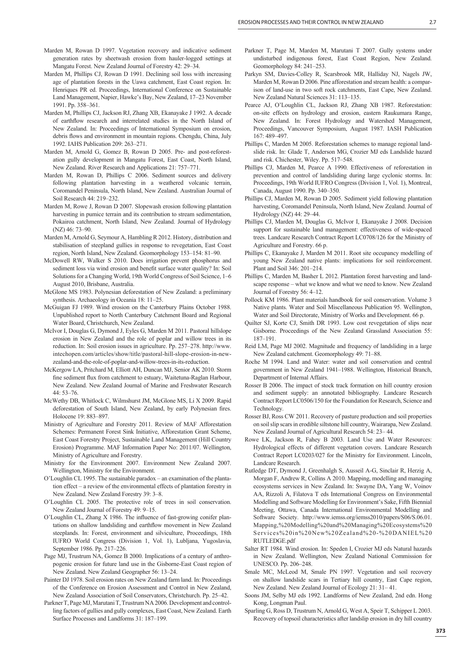- Marden M, Rowan D 1997. Vegetation recovery and indicative sediment generation rates by sheetwash erosion from hauler-logged settings at Mangatu Forest. New Zealand Journal of Forestry 42: 29–34.
- Marden M, Phillips CJ, Rowan D 1991. Declining soil loss with increasing age of plantation forests in the Uawa catchment, East Coast region. In: Henriques PR ed. Proceedings, International Conference on Sustainable Land Management, Napier, Hawke's Bay, New Zealand, 17–23 November 1991. Pp. 358–361.
- Marden M, Phillips CJ, Jackson RJ, Zhang XB, Ekanayake J 1992. A decade of earthflow research and interrelated studies in the North Island of New Zealand. In: Proceedings of International Symposium on erosion, debris flows and environment in mountain regions. Chengdu, China, July 1992. IAHS Publication 209: 263–271.
- Marden M, Arnold G, Gomez B, Rowan D 2005. Pre- and post-reforestation gully development in Mangatu Forest, East Coast, North Island, New Zealand. River Research and Applications 21: 757–771.
- Marden M, Rowan D, Phillips C 2006. Sediment sources and delivery following plantation harvesting in a weathered volcanic terrain, Coromandel Peninsula, North Island, New Zealand. Australian Journal of Soil Research 44: 219–232.
- Marden M, Rowe J, Rowan D 2007. Slopewash erosion following plantation harvesting in pumice terrain and its contribution to stream sedimentation, Pokairoa catchment, North Island, New Zealand. Journal of Hydrology (NZ) 46: 73–90.
- Marden M, Arnold G, Seymour A, Hambling R 2012. History, distribution and stabilisation of steepland gullies in response to revegetation, East Coast region, North Island, New Zealand. Geomorphology 153–154: 81–90.
- McDowell RW, Walker S 2010. Does irrigation prevent phosphorus and sediment loss via wind erosion and benefit surface water quality? In: Soil Solutions for a Changing World, 19th World Congress of Soil Science, 1–6 August 2010, Brisbane, Australia.
- McGlone MS 1983. Polynesian deforestation of New Zealand: a preliminary synthesis. Archaeology in Oceania 18: 11–25.
- McGuigan FJ 1989. Wind erosion on the Canterbury Plains October 1988. Unpublished report to North Canterbury Catchment Board and Regional Water Board, Christchurch, New Zealand.
- McIvor I, Douglas G, Dymond J, Eyles G, Marden M 2011. Pastoral hillslope erosion in New Zealand and the role of poplar and willow trees in its reduction. In: Soil erosion issues in agriculture. Pp. 257–278. http://www. intechopen.com/articles/show/title/pastoral-hill-slope-erosion-in-newzealand-and-the-role-of-poplar-and-willow-trees-in-its-reduction.
- McKergow LA, Pritchard M, Elliott AH, Duncan MJ, Senior AK 2010. Storm fine sediment flux from catchment to estuary, Waitetuna-Raglan Harbour, New Zealand. New Zealand Journal of Marine and Freshwater Research  $44.53 - 76$
- McWethy DB, Whitlock C, Wilmshurst JM, McGlone MS, Li X 2009. Rapid deforestation of South Island, New Zealand, by early Polynesian fires. Holocene 19: 883–897.
- Ministry of Agriculture and Forestry 2011. Review of MAF Afforestation Schemes: Permanent Forest Sink Initiative, Afforestation Grant Scheme, East Coast Forestry Project, Sustainable Land Management (Hill Country Erosion) Programme. MAF Information Paper No: 2011/07. Wellington, Ministry of Agriculture and Forestry.
- Ministry for the Environment 2007. Environment New Zealand 2007. Wellington, Ministry for the Environment.
- O'Loughlin CL 1995. The sustainable paradox an examination of the plantation effect – a review of the environmental effects of plantation forestry in New Zealand. New Zealand Forestry 39: 3–8.
- O'Loughlin CL 2005. The protective role of trees in soil conservation. New Zealand Journal of Forestry 49: 9–15.
- $O'$ Loughlin CL, Zhang X 1986. The influence of fast-growing conifer plantations on shallow landsliding and earthflow movement in New Zealand steeplands. In: Forest, environment and silviculture, Proceedings, 18th IUFRO World Congress (Division 1, Vol. 1), Lubljana, Yugoslavia, September 1986. Pp. 217–226.
- Page MJ, Trustrum NA, Gomez B 2000. Implications of a century of anthropogenic erosion for future land use in the Gisborne-East Coast region of New Zealand. New Zealand Geographer 56: 13–24.
- Painter DJ 1978. Soil erosion rates on New Zealand farm land. In: Proceedings of the Conference on Erosion Assessment and Control in New Zealand, New Zealand Association of Soil Conservators, Christchurch. Pp. 25–42.
- Parkner T, Page MJ, Marutani T, Trustrum NA 2006. Development and controlling factors of gullies and gully complexes, East Coast, New Zealand. Earth Surface Processes and Landforms 31: 187–199.
- Parkner T, Page M, Marden M, Marutani T 2007. Gully systems under undisturbed indigenous forest, East Coast Region, New Zealand. Geomorphology 84: 241–253.
- Parkyn SM, Davies-Colley R, Scarsbrook MR, Halliday NJ, Nagels JW, Marden M, Rowan D 2006. Pine afforestation and stream health: a comparison of land-use in two soft rock catchments, East Cape, New Zealand. New Zealand Natural Sciences 31: 113–135.
- Pearce AJ, O'Loughlin CL, Jackson RJ, Zhang XB 1987. Reforestation: on-site effects on hydrology and erosion, eastern Raukumara Range, New Zealand. In: Forest Hydrology and Watershed Management, Proceedings, Vancouver Symposium, August 1987. IASH Publication 167: 489–497.
- Phillips C, Marden M 2005. Reforestation schemes to manage regional landslide risk. In: Glade T, Anderson MG, Crozier MJ eds Landslide hazard and risk. Chichester, Wiley. Pp. 517–548.
- Phillips CJ, Marden M, Pearce A 1990. Effectiveness of reforestation in prevention and control of landsliding during large cyclonic storms. In: Proceedings, 19th World IUFRO Congress (Division 1, Vol. 1), Montreal, Canada, August 1990. Pp. 340–350.
- Phillips CJ, Marden M, Rowan D 2005. Sediment yield following plantation harvesting, Coromandel Peninsula, North Island, New Zealand. Journal of Hydrology (NZ) 44: 29–44.
- Phillips CJ, Marden M, Douglas G, McIvor I, Ekanayake J 2008. Decision support for sustainable land management: effectiveness of wide-spaced trees. Landcare Research Contract Report LC0708/126 for the Ministry of Agriculture and Forestry. 66 p.
- Phillips C, Ekanayake J, Marden M 2011. Root site occupancy modelling of young New Zealand native plants: implications for soil reinforcement. Plant and Soil 346: 201–214.
- Phillips C, Marden M, Basher L 2012. Plantation forest harvesting and landscape response – what we know and what we need to know. New Zealand Journal of Forestry 56: 4–12.
- Pollock KM 1986. Plant materials handbook for soil conservation. Volume 3 Native plants. Water and Soil Miscellaneous Publication 95. Wellington, Water and Soil Directorate, Ministry of Works and Development. 66 p.
- Quilter SJ, Korte CJ, Smith DR 1993. Low cost revegetation of slips near Gisborne. Proceedings of the New Zealand Grassland Association 55: 187–191.
- Reid LM, Page MJ 2002. Magnitude and frequency of landsliding in a large New Zealand catchment. Geomorphology 49: 71–88.
- Roche M 1994. Land and Water: water and soil conservation and central government in New Zealand 1941–1988. Wellington, Historical Branch, Department of Internal Affairs.
- Rosser B 2006. The impact of stock track formation on hill country erosion and sediment supply: an annotated bibliography. Landcare Research Contract Report LC0506/150 for the Foundation for Research, Science and Technology.
- Rosser BJ, Ross CW 2011. Recovery of pasture production and soil properties on soil slip scars in erodible siltstone hill country, Wairarapa, New Zealand. New Zealand Journal of Agricultural Research 54: 23– 44.
- Rowe LK, Jackson R, Fahey B 2003. Land Use and Water Resources: Hydrological effects of different vegetation covers. Landcare Research Contract Report LC0203/027 for the Ministry for Environment. Lincoln, Landcare Research.
- Rutledge DT, Dymond J, Greenhalgh S, Ausseil A-G, Sinclair R, Herzig A, Morgan F, Andrew R, Collins A 2010. Mapping, modelling and managing ecosystems services in New Zealand. In: Swayne DA, Yang W, Voinov AA, Rizzoli A, Filatova T eds International Congress on Environmental Modelling and Software Modelling for Environment's Sake, Fifth Biennial Meeting, Ottawa, Canada International Environmental Modelling and Software Society. http://www.iemss.org/iemss2010/papers/S06/S.06.01. Mapping,%20Modelling%20and%20Managing%20Ecosystems%20 Services%20in%20New%20Zealand%20-%20DANIEL%20 RUTLEDGE.pdf
- Salter RT 1984. Wind erosion. In: Speden I, Crozier MJ eds Natural hazards in New Zealand. Wellington, New Zealand National Commission for UNESCO. Pp. 206–248.
- Smale MC, McLeod M, Smale PN 1997. Vegetation and soil recovery on shallow landslide scars in Tertiary hill country, East Cape region, New Zealand. New Zealand Journal of Ecology 21: 31– 41.
- Soons JM, Selby MJ eds 1992. Landforms of New Zealand, 2nd edn. Hong Kong, Longman Paul.
- Sparling G, Ross D, Trustrum N, Arnold G, West A, Speir T, Schipper L 2003. Recovery of topsoil characteristics after landslip erosion in dry hill country